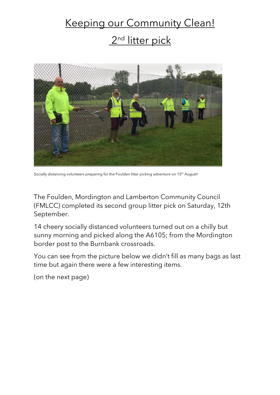## Keeping our Community Clean! 2<sup>nd</sup> litter pick



Socially distancing volunteers preparing for the Foulden litter picking adventure on 15<sup>th</sup> August!

The Foulden, Mordington and Lamberton Community Council (FMLCC) completed its second group litter pick on Saturday, 12th September.

14 cheery socially distanced volunteers turned out on a chilly but sunny morning and picked along the A6105; from the Mordington border post to the Burnbank crossroads.

You can see from the picture below we didn't fill as many bags as last time but again there were a few interesting items.

(on the next page)